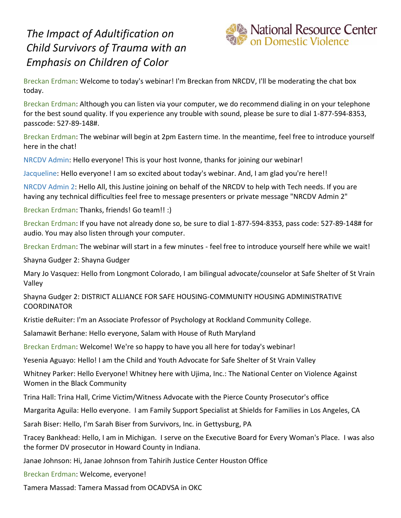## *The Impact of Adultification on Child Survivors of Trauma with an Emphasis on Children of Color*



Breckan Erdman: Welcome to today's webinar! I'm Breckan from NRCDV, I'll be moderating the chat box today.

Breckan Erdman: Although you can listen via your computer, we do recommend dialing in on your telephone for the best sound quality. If you experience any trouble with sound, please be sure to dial 1-877-594-8353, passcode: 527-89-148#.

Breckan Erdman: The webinar will begin at 2pm Eastern time. In the meantime, feel free to introduce yourself here in the chat!

NRCDV Admin: Hello everyone! This is your host Ivonne, thanks for joining our webinar!

Jacqueline: Hello everyone! I am so excited about today's webinar. And, I am glad you're here!!

NRCDV Admin 2: Hello All, this Justine joining on behalf of the NRCDV to help with Tech needs. If you are having any technical difficulties feel free to message presenters or private message "NRCDV Admin 2"

Breckan Erdman: Thanks, friends! Go team!! :)

Breckan Erdman: If you have not already done so, be sure to dial 1-877-594-8353, pass code: 527-89-148# for audio. You may also listen through your computer.

Breckan Erdman: The webinar will start in a few minutes - feel free to introduce yourself here while we wait!

Shayna Gudger 2: Shayna Gudger

Mary Jo Vasquez: Hello from Longmont Colorado, I am bilingual advocate/counselor at Safe Shelter of St Vrain Valley

Shayna Gudger 2: DISTRICT ALLIANCE FOR SAFE HOUSING-COMMUNITY HOUSING ADMINISTRATIVE COORDINATOR

Kristie deRuiter: I'm an Associate Professor of Psychology at Rockland Community College.

Salamawit Berhane: Hello everyone, Salam with House of Ruth Maryland

Breckan Erdman: Welcome! We're so happy to have you all here for today's webinar!

Yesenia Aguayo: Hello! I am the Child and Youth Advocate for Safe Shelter of St Vrain Valley

Whitney Parker: Hello Everyone! Whitney here with Ujima, Inc.: The National Center on Violence Against Women in the Black Community

Trina Hall: Trina Hall, Crime Victim/Witness Advocate with the Pierce County Prosecutor's office

Margarita Aguila: Hello everyone. I am Family Support Specialist at Shields for Families in Los Angeles, CA

Sarah Biser: Hello, I'm Sarah Biser from Survivors, Inc. in Gettysburg, PA

Tracey Bankhead: Hello, I am in Michigan. I serve on the Executive Board for Every Woman's Place. I was also the former DV prosecutor in Howard County in Indiana.

Janae Johnson: Hi, Janae Johnson from Tahirih Justice Center Houston Office

Breckan Erdman: Welcome, everyone!

Tamera Massad: Tamera Massad from OCADVSA in OKC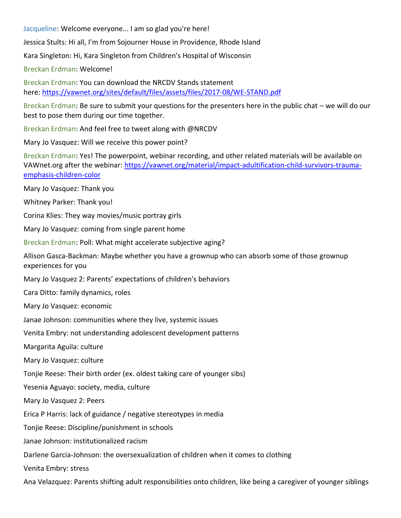Jacqueline: Welcome everyone... I am so glad you're here!

Jessica Stults: Hi all, I'm from Sojourner House in Providence, Rhode Island

Kara Singleton: Hi, Kara Singleton from Children's Hospital of Wisconsin

Breckan Erdman: Welcome!

Breckan Erdman: You can download the NRCDV Stands statement here: <https://vawnet.org/sites/default/files/assets/files/2017-08/WE-STAND.pdf>

Breckan Erdman: Be sure to submit your questions for the presenters here in the public chat – we will do our best to pose them during our time together.

Breckan Erdman: And feel free to tweet along with @NRCDV

Mary Jo Vasquez: Will we receive this power point?

Breckan Erdman: Yes! The powerpoint, webinar recording, and other related materials will be available on VAWnet.org after the webinar: [https://vawnet.org/material/impact-adultification-child-survivors-trauma](https://vawnet.org/material/impact-adultification-child-survivors-trauma-emphasis-children-color)[emphasis-children-color](https://vawnet.org/material/impact-adultification-child-survivors-trauma-emphasis-children-color)

Mary Jo Vasquez: Thank you

Whitney Parker: Thank you!

Corina Klies: They way movies/music portray girls

Mary Jo Vasquez: coming from single parent home

Breckan Erdman: Poll: What might accelerate subjective aging?

Allison Gasca-Backman: Maybe whether you have a grownup who can absorb some of those grownup experiences for you

Mary Jo Vasquez 2: Parents' expectations of children's behaviors

Cara Ditto: family dynamics, roles

Mary Jo Vasquez: economic

Janae Johnson: communities where they live, systemic issues

Venita Embry: not understanding adolescent development patterns

Margarita Aguila: culture

Mary Jo Vasquez: culture

Tonjie Reese: Their birth order (ex. oldest taking care of younger sibs)

Yesenia Aguayo: society, media, culture

Mary Jo Vasquez 2: Peers

Erica P Harris: lack of guidance / negative stereotypes in media

Tonjie Reese: Discipline/punishment in schools

Janae Johnson: institutionalized racism

Darlene Garcia-Johnson: the oversexualization of children when it comes to clothing

Venita Embry: stress

Ana Velazquez: Parents shifting adult responsibilities onto children, like being a caregiver of younger siblings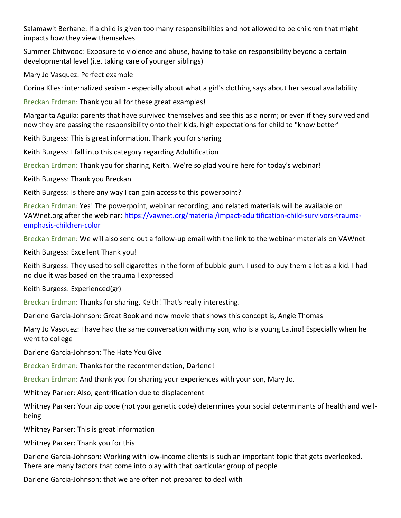Salamawit Berhane: If a child is given too many responsibilities and not allowed to be children that might impacts how they view themselves

Summer Chitwood: Exposure to violence and abuse, having to take on responsibility beyond a certain developmental level (i.e. taking care of younger siblings)

Mary Jo Vasquez: Perfect example

Corina Klies: internalized sexism - especially about what a girl's clothing says about her sexual availability

Breckan Erdman: Thank you all for these great examples!

Margarita Aguila: parents that have survived themselves and see this as a norm; or even if they survived and now they are passing the responsibility onto their kids, high expectations for child to "know better"

Keith Burgess: This is great information. Thank you for sharing

Keith Burgess: I fall into this category regarding Adultification

Breckan Erdman: Thank you for sharing, Keith. We're so glad you're here for today's webinar!

Keith Burgess: Thank you Breckan

Keith Burgess: Is there any way I can gain access to this powerpoint?

Breckan Erdman: Yes! The powerpoint, webinar recording, and related materials will be available on VAWnet.org after the webinar: [https://vawnet.org/material/impact-adultification-child-survivors-trauma](https://vawnet.org/material/impact-adultification-child-survivors-trauma-emphasis-children-color)[emphasis-children-color](https://vawnet.org/material/impact-adultification-child-survivors-trauma-emphasis-children-color)

Breckan Erdman: We will also send out a follow-up email with the link to the webinar materials on VAWnet

Keith Burgess: Excellent Thank you!

Keith Burgess: They used to sell cigarettes in the form of bubble gum. I used to buy them a lot as a kid. I had no clue it was based on the trauma I expressed

Keith Burgess: Experienced(gr)

Breckan Erdman: Thanks for sharing, Keith! That's really interesting.

Darlene Garcia-Johnson: Great Book and now movie that shows this concept is, Angie Thomas

Mary Jo Vasquez: I have had the same conversation with my son, who is a young Latino! Especially when he went to college

Darlene Garcia-Johnson: The Hate You Give

Breckan Erdman: Thanks for the recommendation, Darlene!

Breckan Erdman: And thank you for sharing your experiences with your son, Mary Jo.

Whitney Parker: Also, gentrification due to displacement

Whitney Parker: Your zip code (not your genetic code) determines your social determinants of health and wellbeing

Whitney Parker: This is great information

Whitney Parker: Thank you for this

Darlene Garcia-Johnson: Working with low-income clients is such an important topic that gets overlooked. There are many factors that come into play with that particular group of people

Darlene Garcia-Johnson: that we are often not prepared to deal with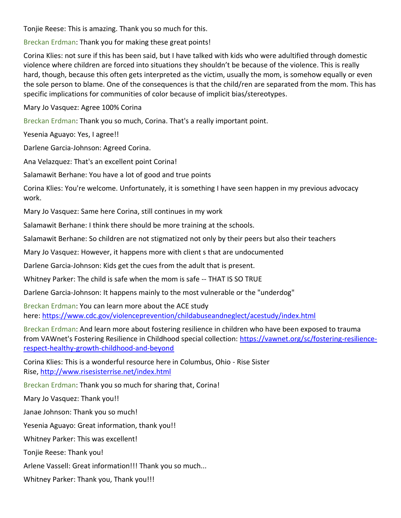Tonjie Reese: This is amazing. Thank you so much for this.

Breckan Erdman: Thank you for making these great points!

Corina Klies: not sure if this has been said, but I have talked with kids who were adultified through domestic violence where children are forced into situations they shouldn't be because of the violence. This is really hard, though, because this often gets interpreted as the victim, usually the mom, is somehow equally or even the sole person to blame. One of the consequences is that the child/ren are separated from the mom. This has specific implications for communities of color because of implicit bias/stereotypes.

Mary Jo Vasquez: Agree 100% Corina

Breckan Erdman: Thank you so much, Corina. That's a really important point.

Yesenia Aguayo: Yes, I agree!!

Darlene Garcia-Johnson: Agreed Corina.

Ana Velazquez: That's an excellent point Corina!

Salamawit Berhane: You have a lot of good and true points

Corina Klies: You're welcome. Unfortunately, it is something I have seen happen in my previous advocacy work.

Mary Jo Vasquez: Same here Corina, still continues in my work

Salamawit Berhane: I think there should be more training at the schools.

Salamawit Berhane: So children are not stigmatized not only by their peers but also their teachers

Mary Jo Vasquez: However, it happens more with client s that are undocumented

Darlene Garcia-Johnson: Kids get the cues from the adult that is present.

Whitney Parker: The child is safe when the mom is safe -- THAT IS SO TRUE

Darlene Garcia-Johnson: It happens mainly to the most vulnerable or the "underdog"

Breckan Erdman: You can learn more about the ACE study here: <https://www.cdc.gov/violenceprevention/childabuseandneglect/acestudy/index.html>

Breckan Erdman: And learn more about fostering resilience in children who have been exposed to trauma from VAWnet's Fostering Resilience in Childhood special collection: [https://vawnet.org/sc/fostering-resilience](https://vawnet.org/sc/fostering-resilience-respect-healthy-growth-childhood-and-beyond)[respect-healthy-growth-childhood-and-beyond](https://vawnet.org/sc/fostering-resilience-respect-healthy-growth-childhood-and-beyond)

Corina Klies: This is a wonderful resource here in Columbus, Ohio - Rise Sister Rise, <http://www.risesisterrise.net/index.html>

Breckan Erdman: Thank you so much for sharing that, Corina!

Mary Jo Vasquez: Thank you!!

Janae Johnson: Thank you so much!

Yesenia Aguayo: Great information, thank you!!

Whitney Parker: This was excellent!

Tonjie Reese: Thank you!

Arlene Vassell: Great information!!! Thank you so much...

Whitney Parker: Thank you, Thank you!!!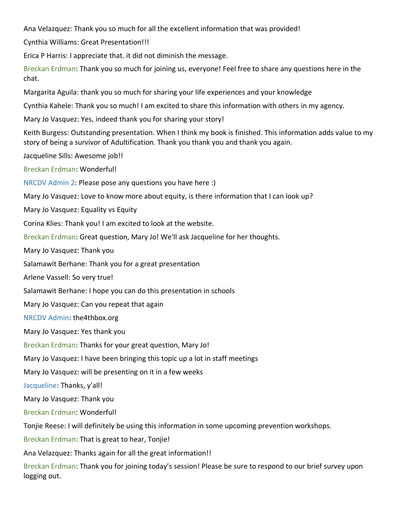Ana Velazquez: Thank you so much for all the excellent information that was provided!

Cynthia Williams: Great Presentation!!!

Erica P Harris: I appreciate that. it did not diminish the message.

Breckan Erdman: Thank you so much for joining us, everyone! Feel free to share any questions here in the chat.

Margarita Aguila: thank you so much for sharing your life experiences and your knowledge

Cynthia Kahele: Thank you so much! I am excited to share this information with others in my agency.

Mary Jo Vasquez: Yes, indeed thank you for sharing your story!

Keith Burgess: Outstanding presentation. When I think my book is finished. This information adds value to my story of being a survivor of Adultification. Thank you thank you and thank you again.

Jacqueline Sills: Awesome job!!

Breckan Erdman: Wonderful!

NRCDV Admin 2: Please pose any questions you have here :)

Mary Jo Vasquez: Love to know more about equity, is there information that I can look up?

Mary Jo Vasquez: Equality vs Equity

Corina Klies: Thank you! I am excited to look at the website.

Breckan Erdman: Great question, Mary Jo! We'll ask Jacqueline for her thoughts.

Mary Jo Vasquez: Thank you

Salamawit Berhane: Thank you for a great presentation

Arlene Vassell: So very true!

Salamawit Berhane: I hope you can do this presentation in schools

Mary Jo Vasquez: Can you repeat that again

NRCDV Admin: the4thbox.org

Mary Jo Vasquez: Yes thank you

Breckan Erdman: Thanks for your great question, Mary Jo!

Mary Jo Vasquez: I have been bringing this topic up a lot in staff meetings

Mary Jo Vasquez: will be presenting on it in a few weeks

Jacqueline: Thanks, y'all!

Mary Jo Vasquez: Thank you

Breckan Erdman: Wonderful!

Tonjie Reese: I will definitely be using this information in some upcoming prevention workshops.

Breckan Erdman: That is great to hear, Tonjie!

Ana Velazquez: Thanks again for all the great information!!

Breckan Erdman: Thank you for joining today's session! Please be sure to respond to our brief survey upon logging out.